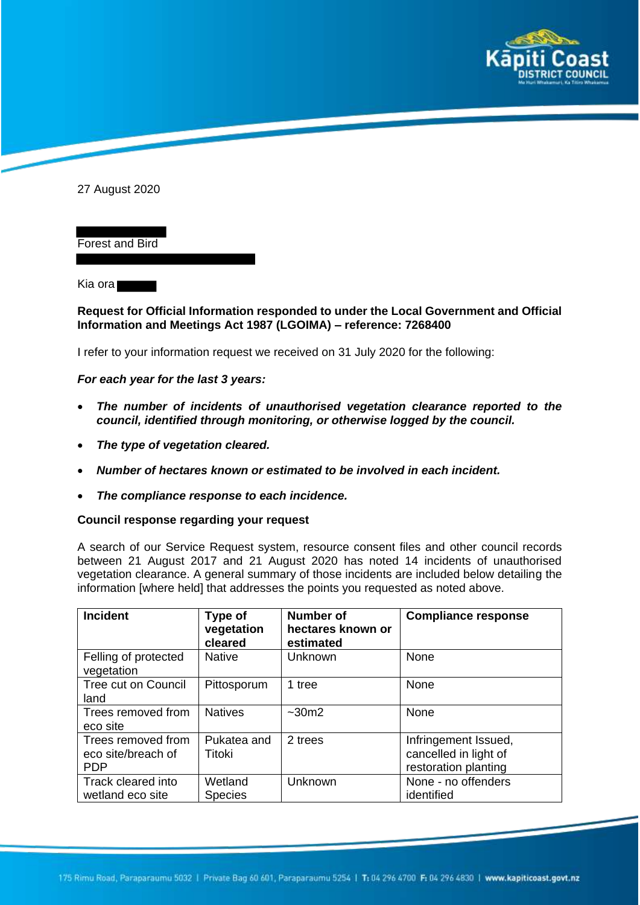

27 August 2020

Forest and Bird

Kia ora

## **Request for Official Information responded to under the Local Government and Official Information and Meetings Act 1987 (LGOIMA) – reference: 7268400**

I refer to your information request we received on 31 July 2020 for the following:

## *For each year for the last 3 years:*

- *The number of incidents of unauthorised vegetation clearance reported to the council, identified through monitoring, or otherwise logged by the council.*
- *The type of vegetation cleared.*
- *Number of hectares known or estimated to be involved in each incident.*
- *The compliance response to each incidence.*

## **Council response regarding your request**

A search of our Service Request system, resource consent files and other council records between 21 August 2017 and 21 August 2020 has noted 14 incidents of unauthorised vegetation clearance. A general summary of those incidents are included below detailing the information [where held] that addresses the points you requested as noted above.

| <b>Incident</b>                                        | Type of<br>vegetation<br>cleared | <b>Number of</b><br>hectares known or<br>estimated | <b>Compliance response</b>                                            |
|--------------------------------------------------------|----------------------------------|----------------------------------------------------|-----------------------------------------------------------------------|
| Felling of protected<br>vegetation                     | <b>Native</b>                    | Unknown                                            | None                                                                  |
| <b>Tree cut on Council</b><br>land                     | Pittosporum                      | 1 tree                                             | None                                                                  |
| Trees removed from<br>eco site                         | <b>Natives</b>                   | $~1$ - 30 m2                                       | None                                                                  |
| Trees removed from<br>eco site/breach of<br><b>PDP</b> | Pukatea and<br>Titoki            | 2 trees                                            | Infringement Issued,<br>cancelled in light of<br>restoration planting |
| Track cleared into<br>wetland eco site                 | Wetland<br><b>Species</b>        | Unknown                                            | None - no offenders<br>identified                                     |